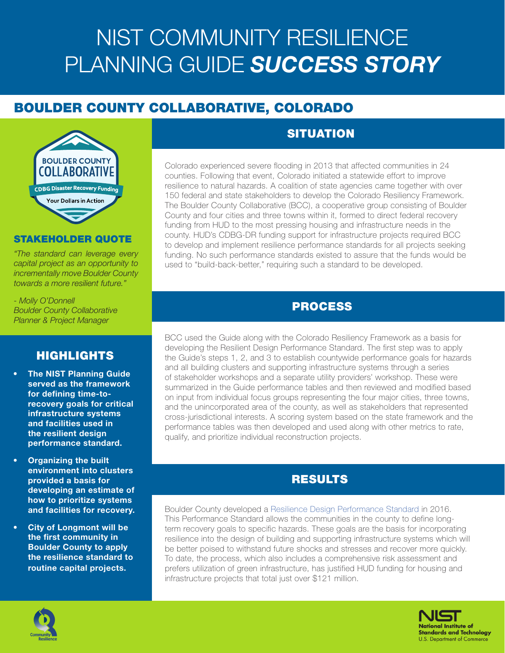# NIST COMMUNITY RESILIENCE PLANNING GUIDE *SUCCESS STORY*

# BOULDER COUNTY COLLABORATIVE, COLORADO



#### STAKEHOLDER QUOTE

*"The standard can leverage every capital project as an opportunity to incrementally move Boulder County towards a more resilient future."*

*- Molly O'Donnell Boulder County Collaborative Planner & Project Manager*

#### HIGHLIGHTS

- **The NIST Planning Guide** served as the framework for defining time-torecovery goals for critical infrastructure systems and facilities used in the resilient design performance standard.
- Organizing the built environment into clusters provided a basis for developing an estimate of how to prioritize systems and facilities for recovery.
- City of Longmont will be the first community in Boulder County to apply the resilience standard to routine capital projects.

## **SITUATION**

Colorado experienced severe flooding in 2013 that affected communities in 24 counties. Following that event, Colorado initiated a statewide effort to improve resilience to natural hazards. A coalition of state agencies came together with over 150 federal and state stakeholders to develop the Colorado Resiliency Framework. The Boulder County Collaborative (BCC), a cooperative group consisting of Boulder County and four cities and three towns within it, formed to direct federal recovery funding from HUD to the most pressing housing and infrastructure needs in the county. HUD's CDBG-DR funding support for infrastructure projects required BCC to develop and implement resilience performance standards for all projects seeking funding. No such performance standards existed to assure that the funds would be used to "build-back-better," requiring such a standard to be developed.

#### PROCESS

BCC used the Guide along with the Colorado Resiliency Framework as a basis for developing the Resilient Design Performance Standard. The first step was to apply the Guide's steps 1, 2, and 3 to establish countywide performance goals for hazards and all building clusters and supporting infrastructure systems through a series of stakeholder workshops and a separate utility providers' workshop. These were summarized in the Guide performance tables and then reviewed and modified based on input from individual focus groups representing the four major cities, three towns, and the unincorporated area of the county, as well as stakeholders that represented cross-jurisdictional interests. A scoring system based on the state framework and the performance tables was then developed and used along with other metrics to rate, qualify, and prioritize individual reconstruction projects.

### RESULTS

Boulder County developed a [Resilience Design Performance Standard](http://www.bccollaborative.org/uploads/6/6/0/6/66068141/resilientdesignperformancestandard_adopted_05.13.2016.pdf) in 2016. This Performance Standard allows the communities in the county to define longterm recovery goals to specific hazards. These goals are the basis for incorporating resilience into the design of building and supporting infrastructure systems which will be better poised to withstand future shocks and stresses and recover more quickly. To date, the process, which also includes a comprehensive risk assessment and prefers utilization of green infrastructure, has justified HUD funding for housing and infrastructure projects that total just over \$121 million.